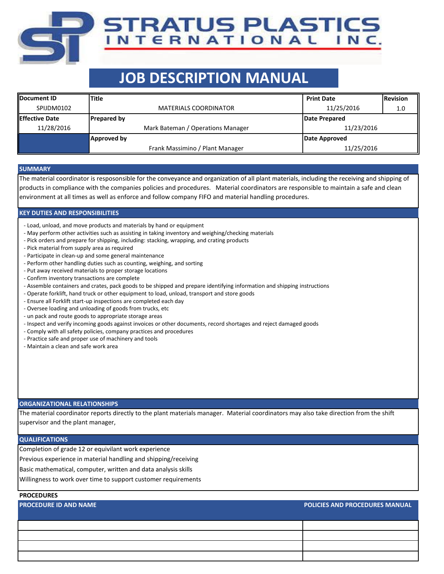# **JOB DESCRIPTION MANUAL**

**TRATUS PLASTICS** 

NTERNATIONAL INC.

| <b>IDocument ID</b>    | Title                             | <b>Print Date</b> | <b>Revision</b> |  |
|------------------------|-----------------------------------|-------------------|-----------------|--|
| SPIJDM0102             | <b>MATERIALS COORDINATOR</b>      | 11/25/2016        | 1.0             |  |
| <b>IEffective Date</b> | <b>Prepared by</b>                | Date Prepared     |                 |  |
| 11/28/2016             | Mark Bateman / Operations Manager | 11/23/2016        |                 |  |
|                        | Approved by                       | Date Approved     |                 |  |
|                        | Frank Massimino / Plant Manager   | 11/25/2016        |                 |  |

#### **SUMMARY**

The material coordinator is resposonsible for the conveyance and organization of all plant materials, including the receiving and shipping of products in compliance with the companies policies and procedures. Material coordinators are responsible to maintain a safe and clean environment at all times as well as enforce and follow company FIFO and material handling procedures.

### **KEY DUTIES AND RESPONSIBILITIES**

- Load, unload, and move products and materials by hand or equipment
- May perform other activities such as assisting in taking inventory and weighing/checking materials
- Pick orders and prepare for shipping, including: stacking, wrapping, and crating products
- Pick material from supply area as required
- Participate in clean-up and some general maintenance
- Perform other handling duties such as counting, weighing, and sorting
- Put away received materials to proper storage locations
- Confirm inventory transactions are complete
- Assemble containers and crates, pack goods to be shipped and prepare identifying information and shipping instructions
- Operate forklift, hand truck or other equipment to load, unload, transport and store goods
- Ensure all Forklift start-up inspections are completed each day
- Oversee loading and unloading of goods from trucks, etc
- un pack and route goods to appropriate storage areas
- Inspect and verify incoming goods against invoices or other documents, record shortages and reject damaged goods
- Comply with all safety policies, company practices and procedures
- Practice safe and proper use of machinery and tools
- Maintain a clean and safe work area

#### **ORGANIZATIONAL RELATIONSHIPS**

The material coordinator reports directly to the plant materials manager. Material coordinators may also take direction from the shift supervisor and the plant manager,

#### **QUALIFICATIONS**

Completion of grade 12 or equivilant work experience

Previous experience in material handling and shipping/receiving

Basic mathematical, computer, written and data analysis skills

Willingness to work over time to support customer requirements

## **PROCEDURES**

## **PROCEDURE ID AND NAME POLICIES AND PROCEDURES MANUAL**